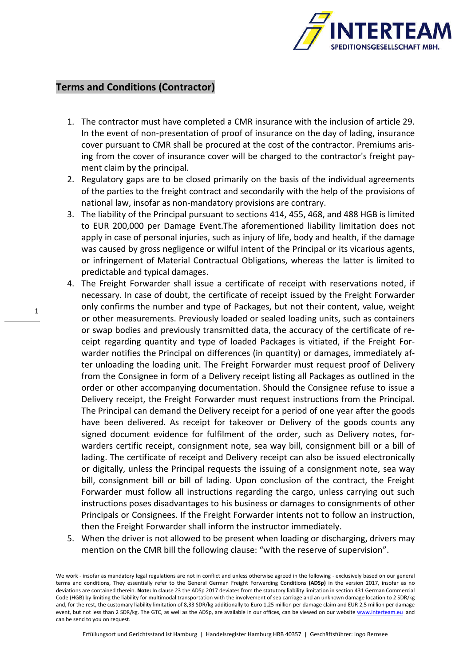

## **Terms and Conditions (Contractor)**

- 1. The contractor must have completed a CMR insurance with the inclusion of article 29. In the event of non-presentation of proof of insurance on the day of lading, insurance cover pursuant to CMR shall be procured at the cost of the contractor. Premiums arising from the cover of insurance cover will be charged to the contractor's freight payment claim by the principal.
- 2. Regulatory gaps are to be closed primarily on the basis of the individual agreements of the parties to the freight contract and secondarily with the help of the provisions of national law, insofar as non-mandatory provisions are contrary.
- 3. The liability of the Principal pursuant to sections 414, 455, 468, and 488 HGB is limited to EUR 200,000 per Damage Event.The aforementioned liability limitation does not apply in case of personal injuries, such as injury of life, body and health, if the damage was caused by gross negligence or wilful intent of the Principal or its vicarious agents, or infringement of Material Contractual Obligations, whereas the latter is limited to predictable and typical damages.
- 4. The Freight Forwarder shall issue a certificate of receipt with reservations noted, if necessary. In case of doubt, the certificate of receipt issued by the Freight Forwarder only confirms the number and type of Packages, but not their content, value, weight or other measurements. Previously loaded or sealed loading units, such as containers or swap bodies and previously transmitted data, the accuracy of the certificate of receipt regarding quantity and type of loaded Packages is vitiated, if the Freight Forwarder notifies the Principal on differences (in quantity) or damages, immediately after unloading the loading unit. The Freight Forwarder must request proof of Delivery from the Consignee in form of a Delivery receipt listing all Packages as outlined in the order or other accompanying documentation. Should the Consignee refuse to issue a Delivery receipt, the Freight Forwarder must request instructions from the Principal. The Principal can demand the Delivery receipt for a period of one year after the goods have been delivered. As receipt for takeover or Delivery of the goods counts any signed document evidence for fulfilment of the order, such as Delivery notes, forwarders certific receipt, consignment note, sea way bill, consignment bill or a bill of lading. The certificate of receipt and Delivery receipt can also be issued electronically or digitally, unless the Principal requests the issuing of a consignment note, sea way bill, consignment bill or bill of lading. Upon conclusion of the contract, the Freight Forwarder must follow all instructions regarding the cargo, unless carrying out such instructions poses disadvantages to his business or damages to consignments of other Principals or Consignees. If the Freight Forwarder intents not to follow an instruction, then the Freight Forwarder shall inform the instructor immediately.
- 5. When the driver is not allowed to be present when loading or discharging, drivers may mention on the CMR bill the following clause: "with the reserve of supervision".

We work - insofar as mandatory legal regulations are not in conflict and unless otherwise agreed in the following - exclusively based on our general terms and conditions, They essentially refer to the General German Freight Forwarding Conditions **(ADSp)** in the version 2017, insofar as no deviations are contained therein. **Note:** In clause 23 the ADSp 2017 deviates from the statutory liability limitation in section 431 German Commercial Code (HGB) by limiting the liability for multimodal transportation with the involvement of sea carriage and an unknown damage location to 2 SDR/kg and, for the rest, the customary liability limitation of 8,33 SDR/kg additionally to Euro 1,25 million per damage claim and EUR 2,5 million per damage event, but not less than 2 SDR/kg. The GTC, as well as the ADSp, are available in our offices, can be viewed on our website www.interteam.eu and can be send to you on request.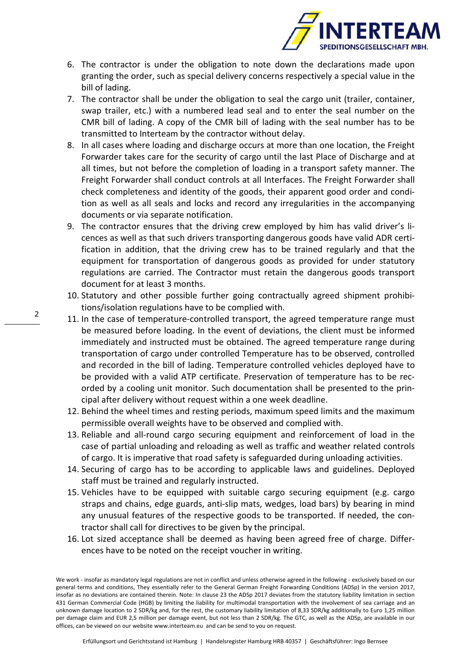

- 6. The contractor is under the obligation to note down the declarations made upon granting the order, such as special delivery concerns respectively a special value in the bill of lading.
- 7. The contractor shall be under the obligation to seal the cargo unit (trailer, container, swap trailer, etc.) with a numbered lead seal and to enter the seal number on the CMR bill of lading. A copy of the CMR bill of lading with the seal number has to be transmitted to Interteam by the contractor without delay.
- 8. In all cases where loading and discharge occurs at more than one location, the Freight Forwarder takes care for the security of cargo until the last Place of Discharge and at all times, but not before the completion of loading in a transport safety manner. The Freight Forwarder shall conduct controls at all Interfaces. The Freight Forwarder shall check completeness and identity of the goods, their apparent good order and condition as well as all seals and locks and record any irregularities in the accompanying documents or via separate notification.
- 9. The contractor ensures that the driving crew employed by him has valid driver's licences as well as that such drivers transporting dangerous goods have valid ADR certification in addition, that the driving crew has to be trained regularly and that the equipment for transportation of dangerous goods as provided for under statutory regulations are carried. The Contractor must retain the dangerous goods transport document for at least 3 months.
- 10. Statutory and other possible further going contractually agreed shipment prohibitions/isolation regulations have to be complied with.
- 11. In the case of temperature-controlled transport, the agreed temperature range must be measured before loading. In the event of deviations, the client must be informed immediately and instructed must be obtained. The agreed temperature range during transportation of cargo under controlled Temperature has to be observed, controlled and recorded in the bill of lading. Temperature controlled vehicles deployed have to be provided with a valid ATP certificate. Preservation of temperature has to be recorded by a cooling unit monitor. Such documentation shall be presented to the principal after delivery without request within a one week deadline.
- 12. Behind the wheel times and resting periods, maximum speed limits and the maximum permissible overall weights have to be observed and complied with.
- 13. Reliable and all-round cargo securing equipment and reinforcement of load in the case of partial unloading and reloading as well as traffic and weather related controls of cargo. It is imperative that road safety is safeguarded during unloading activities.
- 14. Securing of cargo has to be according to applicable laws and guidelines. Deployed staff must be trained and regularly instructed.
- 15. Vehicles have to be equipped with suitable cargo securing equipment (e.g. cargo straps and chains, edge guards, anti-slip mats, wedges, load bars) by bearing in mind any unusual features of the respective goods to be transported. If needed, the contractor shall call for directives to be given by the principal.
- 16. Lot sized acceptance shall be deemed as having been agreed free of charge. Differences have to be noted on the receipt voucher in writing.

We work - insofar as mandatory legal regulations are not in conflict and unless otherwise agreed in the following - exclusively based on our general terms and conditions, They essentially refer to the General German Freight Forwarding Conditions (ADSp) in the version 2017, insofar as no deviations are contained therein. Note: In clause 23 the ADSp 2017 deviates from the statutory liability limitation in section 431 German Commercial Code (HGB) by limiting the liability for multimodal transportation with the involvement of sea carriage and an unknown damage location to 2 SDR/kg and, for the rest, the customary liability limitation of 8,33 SDR/kg additionally to Euro 1,25 million per damage claim and EUR 2,5 million per damage event, but not less than 2 SDR/kg. The GTC, as well as the ADSp, are available in our offices, can be viewed on our website www.interteam.eu and can be send to you on request.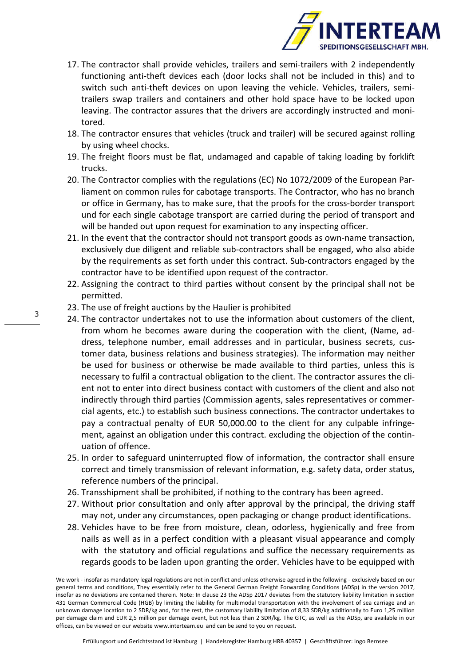

- 17. The contractor shall provide vehicles, trailers and semi-trailers with 2 independently functioning anti-theft devices each (door locks shall not be included in this) and to switch such anti-theft devices on upon leaving the vehicle. Vehicles, trailers, semitrailers swap trailers and containers and other hold space have to be locked upon leaving. The contractor assures that the drivers are accordingly instructed and monitored.
- 18. The contractor ensures that vehicles (truck and trailer) will be secured against rolling by using wheel chocks.
- 19. The freight floors must be flat, undamaged and capable of taking loading by forklift trucks.
- 20. The Contractor complies with the regulations (EC) No 1072/2009 of the European Parliament on common rules for cabotage transports. The Contractor, who has no branch or office in Germany, has to make sure, that the proofs for the cross-border transport und for each single cabotage transport are carried during the period of transport and will be handed out upon request for examination to any inspecting officer.
- 21. In the event that the contractor should not transport goods as own-name transaction, exclusively due diligent and reliable sub-contractors shall be engaged, who also abide by the requirements as set forth under this contract. Sub-contractors engaged by the contractor have to be identified upon request of the contractor.
- 22. Assigning the contract to third parties without consent by the principal shall not be permitted.
- 23. The use of freight auctions by the Haulier is prohibited
- 24. The contractor undertakes not to use the information about customers of the client, from whom he becomes aware during the cooperation with the client, (Name, address, telephone number, email addresses and in particular, business secrets, customer data, business relations and business strategies). The information may neither be used for business or otherwise be made available to third parties, unless this is necessary to fulfil a contractual obligation to the client. The contractor assures the client not to enter into direct business contact with customers of the client and also not indirectly through third parties (Commission agents, sales representatives or commercial agents, etc.) to establish such business connections. The contractor undertakes to pay a contractual penalty of EUR 50,000.00 to the client for any culpable infringement, against an obligation under this contract. excluding the objection of the continuation of offence.
- 25. In order to safeguard uninterrupted flow of information, the contractor shall ensure correct and timely transmission of relevant information, e.g. safety data, order status, reference numbers of the principal.
- 26. Transshipment shall be prohibited, if nothing to the contrary has been agreed.
- 27. Without prior consultation and only after approval by the principal, the driving staff may not, under any circumstances, open packaging or change product identifications.
- 28. Vehicles have to be free from moisture, clean, odorless, hygienically and free from nails as well as in a perfect condition with a pleasant visual appearance and comply with the statutory and official regulations and suffice the necessary requirements as regards goods to be laden upon granting the order. Vehicles have to be equipped with

We work - insofar as mandatory legal regulations are not in conflict and unless otherwise agreed in the following - exclusively based on our general terms and conditions, They essentially refer to the General German Freight Forwarding Conditions (ADSp) in the version 2017, insofar as no deviations are contained therein. Note: In clause 23 the ADSp 2017 deviates from the statutory liability limitation in section 431 German Commercial Code (HGB) by limiting the liability for multimodal transportation with the involvement of sea carriage and an unknown damage location to 2 SDR/kg and, for the rest, the customary liability limitation of 8,33 SDR/kg additionally to Euro 1,25 million per damage claim and EUR 2,5 million per damage event, but not less than 2 SDR/kg. The GTC, as well as the ADSp, are available in our offices, can be viewed on our website www.interteam.eu and can be send to you on request.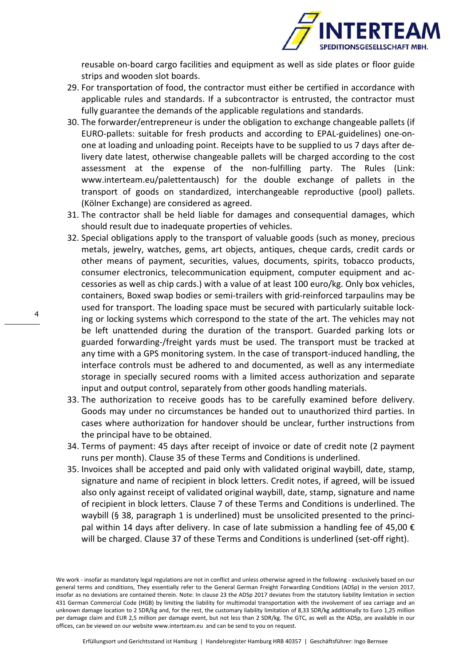

reusable on-board cargo facilities and equipment as well as side plates or floor guide strips and wooden slot boards.

- 29. For transportation of food, the contractor must either be certified in accordance with applicable rules and standards. If a subcontractor is entrusted, the contractor must fully guarantee the demands of the applicable regulations and standards.
- 30. The forwarder/entrepreneur is under the obligation to exchange changeable pallets (if EURO-pallets: suitable for fresh products and according to EPAL-guidelines) one-onone at loading and unloading point. Receipts have to be supplied to us 7 days after delivery date latest, otherwise changeable pallets will be charged according to the cost assessment at the expense of the non-fulfilling party. The Rules (Link: www.interteam.eu/palettentausch) for the double exchange of pallets in the transport of goods on standardized, interchangeable reproductive (pool) pallets. (Kölner Exchange) are considered as agreed.
- 31. The contractor shall be held liable for damages and consequential damages, which should result due to inadequate properties of vehicles.
- 32. Special obligations apply to the transport of valuable goods (such as money, precious metals, jewelry, watches, gems, art objects, antiques, cheque cards, credit cards or other means of payment, securities, values, documents, spirits, tobacco products, consumer electronics, telecommunication equipment, computer equipment and accessories as well as chip cards.) with a value of at least 100 euro/kg. Only box vehicles, containers, Boxed swap bodies or semi-trailers with grid-reinforced tarpaulins may be used for transport. The loading space must be secured with particularly suitable locking or locking systems which correspond to the state of the art. The vehicles may not be left unattended during the duration of the transport. Guarded parking lots or guarded forwarding-/freight yards must be used. The transport must be tracked at any time with a GPS monitoring system. In the case of transport-induced handling, the interface controls must be adhered to and documented, as well as any intermediate storage in specially secured rooms with a limited access authorization and separate input and output control, separately from other goods handling materials.
- 33. The authorization to receive goods has to be carefully examined before delivery. Goods may under no circumstances be handed out to unauthorized third parties. In cases where authorization for handover should be unclear, further instructions from the principal have to be obtained.
- 34. Terms of payment: 45 days after receipt of invoice or date of credit note (2 payment runs per month). Clause 35 of these Terms and Conditions is underlined.
- 35. Invoices shall be accepted and paid only with validated original waybill, date, stamp, signature and name of recipient in block letters. Credit notes, if agreed, will be issued also only against receipt of validated original waybill, date, stamp, signature and name of recipient in block letters. Clause 7 of these Terms and Conditions is underlined. The waybill (§ 38, paragraph 1 is underlined) must be unsolicited presented to the principal within 14 days after delivery. In case of late submission a handling fee of 45,00  $\epsilon$ will be charged. Clause 37 of these Terms and Conditions is underlined (set-off right).

We work - insofar as mandatory legal regulations are not in conflict and unless otherwise agreed in the following - exclusively based on our general terms and conditions, They essentially refer to the General German Freight Forwarding Conditions (ADSp) in the version 2017, insofar as no deviations are contained therein. Note: In clause 23 the ADSp 2017 deviates from the statutory liability limitation in section 431 German Commercial Code (HGB) by limiting the liability for multimodal transportation with the involvement of sea carriage and an unknown damage location to 2 SDR/kg and, for the rest, the customary liability limitation of 8,33 SDR/kg additionally to Euro 1,25 million per damage claim and EUR 2,5 million per damage event, but not less than 2 SDR/kg. The GTC, as well as the ADSp, are available in our offices, can be viewed on our website www.interteam.eu and can be send to you on request.